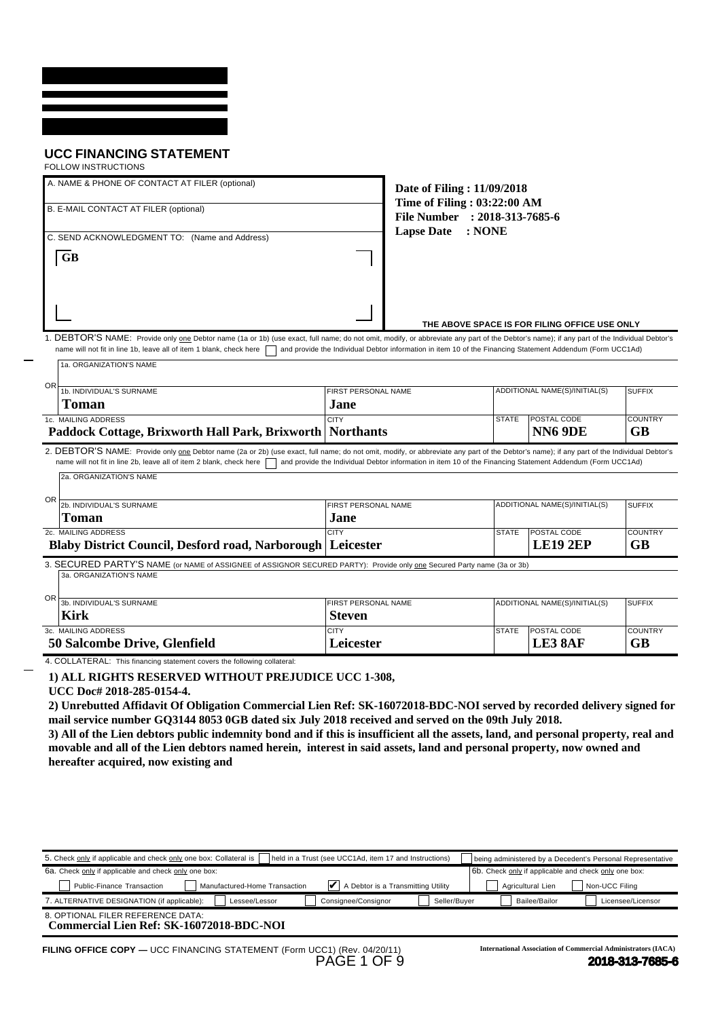#### **UCC FINANCING STATEMENT** FOLLOW INSTRUCTIONS

|    | A. NAME & PHONE OF CONTACT AT FILER (optional)                                                                                                                                                                                                                                                                                                                                                                                                                                                                                                                                                                                                            |                                      | Date of Filing: 11/09/2018                                                                                 |              |                                               |                      |
|----|-----------------------------------------------------------------------------------------------------------------------------------------------------------------------------------------------------------------------------------------------------------------------------------------------------------------------------------------------------------------------------------------------------------------------------------------------------------------------------------------------------------------------------------------------------------------------------------------------------------------------------------------------------------|--------------------------------------|------------------------------------------------------------------------------------------------------------|--------------|-----------------------------------------------|----------------------|
|    | B. E-MAIL CONTACT AT FILER (optional)                                                                                                                                                                                                                                                                                                                                                                                                                                                                                                                                                                                                                     |                                      | <b>Time of Filing: 03:22:00 AM</b><br>File Number : 2018-313-7685-6                                        |              |                                               |                      |
|    | C. SEND ACKNOWLEDGMENT TO: (Name and Address)                                                                                                                                                                                                                                                                                                                                                                                                                                                                                                                                                                                                             |                                      | <b>Lapse Date</b><br>: <b>NONE</b>                                                                         |              |                                               |                      |
|    | <b>GB</b>                                                                                                                                                                                                                                                                                                                                                                                                                                                                                                                                                                                                                                                 |                                      |                                                                                                            |              |                                               |                      |
|    |                                                                                                                                                                                                                                                                                                                                                                                                                                                                                                                                                                                                                                                           |                                      |                                                                                                            |              | THE ABOVE SPACE IS FOR FILING OFFICE USE ONLY |                      |
|    | 1. DEBTOR'S NAME: Provide only one Debtor name (1a or 1b) (use exact, full name; do not omit, modify, or abbreviate any part of the Debtor's name); if any part of the Individual Debtor's<br>name will not fit in line 1b, leave all of item 1 blank, check here                                                                                                                                                                                                                                                                                                                                                                                         |                                      | and provide the Individual Debtor information in item 10 of the Financing Statement Addendum (Form UCC1Ad) |              |                                               |                      |
|    | 1a. ORGANIZATION'S NAME                                                                                                                                                                                                                                                                                                                                                                                                                                                                                                                                                                                                                                   |                                      |                                                                                                            |              |                                               |                      |
| OR | 1b. INDIVIDUAL'S SURNAME                                                                                                                                                                                                                                                                                                                                                                                                                                                                                                                                                                                                                                  | FIRST PERSONAL NAME                  |                                                                                                            |              | ADDITIONAL NAME(S)/INITIAL(S)                 | <b>SUFFIX</b>        |
|    | Toman                                                                                                                                                                                                                                                                                                                                                                                                                                                                                                                                                                                                                                                     | Jane                                 |                                                                                                            |              |                                               |                      |
|    | 1c. MAILING ADDRESS<br>Paddock Cottage, Brixworth Hall Park, Brixworth                                                                                                                                                                                                                                                                                                                                                                                                                                                                                                                                                                                    | CITY<br><b>Northants</b>             |                                                                                                            | <b>STATE</b> | POSTAL CODE<br>NN <sub>6</sub> 9DE            | <b>COUNTRY</b><br>GB |
| 0R | 2a. ORGANIZATION'S NAME<br>2b. INDIVIDUAL'S SURNAME                                                                                                                                                                                                                                                                                                                                                                                                                                                                                                                                                                                                       | FIRST PERSONAL NAME                  |                                                                                                            |              | ADDITIONAL NAME(S)/INITIAL(S)                 | <b>SUFFIX</b>        |
|    | Toman<br>2c. MAILING ADDRESS<br><b>Blaby District Council, Desford road, Narborough</b>                                                                                                                                                                                                                                                                                                                                                                                                                                                                                                                                                                   | Jane<br><b>CITY</b><br>Leicester     |                                                                                                            | <b>STATE</b> | <b>POSTAL CODE</b><br><b>LE19 2EP</b>         | <b>COUNTRY</b><br>GB |
| 0R | 3. SECURED PARTY'S NAME (or NAME of ASSIGNEE of ASSIGNOR SECURED PARTY): Provide only one Secured Party name (3a or 3b)<br>3a. ORGANIZATION'S NAME<br>3b. INDIVIDUAL'S SURNAME<br>Kirk                                                                                                                                                                                                                                                                                                                                                                                                                                                                    | FIRST PERSONAL NAME<br><b>Steven</b> |                                                                                                            |              | ADDITIONAL NAME(S)/INITIAL(S)                 | <b>SUFFIX</b>        |
|    | 3c. MAILING ADDRESS                                                                                                                                                                                                                                                                                                                                                                                                                                                                                                                                                                                                                                       | <b>CITY</b>                          |                                                                                                            | <b>STATE</b> | POSTAL CODE                                   | <b>COUNTRY</b>       |
|    | 50 Salcombe Drive, Glenfield                                                                                                                                                                                                                                                                                                                                                                                                                                                                                                                                                                                                                              | Leicester                            |                                                                                                            |              | LE3 8AF                                       | <b>GB</b>            |
|    | 4. COLLATERAL: This financing statement covers the following collateral:<br>1) ALL RIGHTS RESERVED WITHOUT PREJUDICE UCC 1-308,<br>UCC Doc# 2018-285-0154-4.<br>2) Unrebutted Affidavit Of Obligation Commercial Lien Ref: SK-16072018-BDC-NOI served by recorded delivery signed for<br>mail service number GQ3144 8053 0GB dated six July 2018 received and served on the 09th July 2018.<br>3) All of the Lien debtors public indemnity bond and if this is insufficient all the assets, land, and personal property, real and<br>movable and all of the Lien debtors named herein, interest in said assets, land and personal property, now owned and |                                      |                                                                                                            |              |                                               |                      |

**hereafter acquired, now existing and**

| held in a Trust (see UCC1Ad, item 17 and Instructions)<br>5. Check only if applicable and check only one box: Collateral is | being administered by a Decedent's Personal Representative |
|-----------------------------------------------------------------------------------------------------------------------------|------------------------------------------------------------|
| 6a. Check only if applicable and check only one box:                                                                        | 6b. Check only if applicable and check only one box:       |
| A Debtor is a Transmitting Utility<br>Public-Finance Transaction<br>Manufactured-Home Transaction                           | Non-UCC Filing<br>Agricultural Lien                        |
| 7. ALTERNATIVE DESIGNATION (if applicable):<br>Consignee/Consignor<br>Seller/Buver<br>Lessee/Lessor                         | Bailee/Bailor<br>Licensee/Licensor                         |
| <b>CONTIONAL FUED DEFEDENCE DATA.</b>                                                                                       |                                                            |

# 8. OPTIONAL FILER REFERENCE DATA: **Commercial Lien Ref: SK-16072018-BDC-NOI**

2018-313-7685-6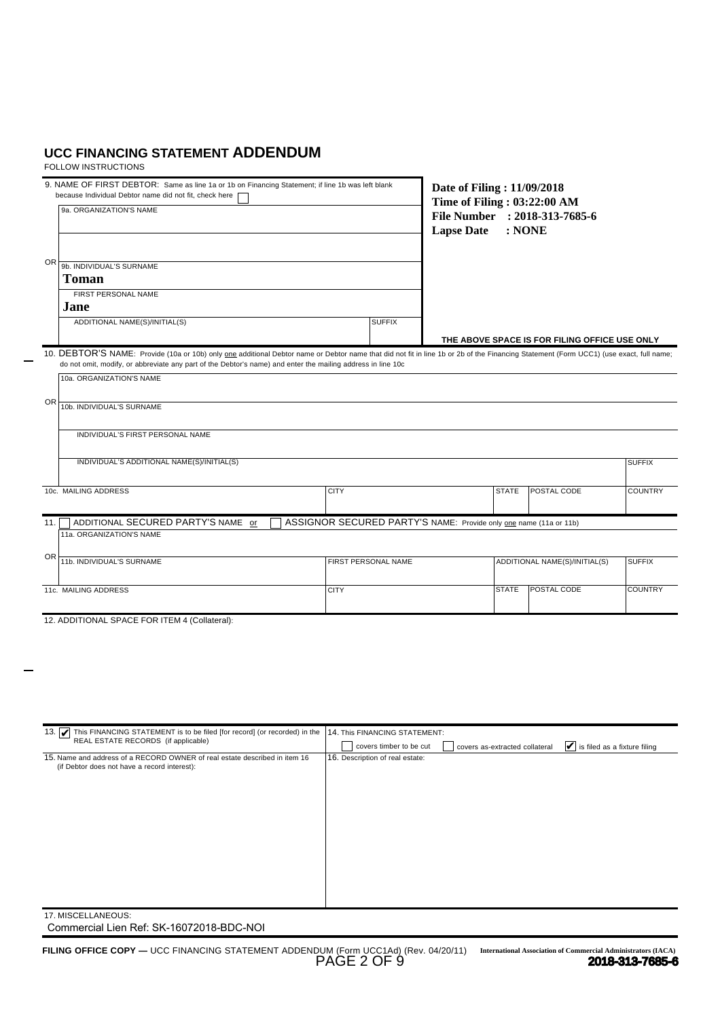#### **UCC FINANCING STATEMENT ADDENDUM**

| FOLLOW INSTRUCTIONS<br>9. NAME OF FIRST DEBTOR: Same as line 1a or 1b on Financing Statement; if line 1b was left blank                                                                |                                                                   | Date of Filing: 11/09/2018                                                        |                                                                      |                                               |  |
|----------------------------------------------------------------------------------------------------------------------------------------------------------------------------------------|-------------------------------------------------------------------|-----------------------------------------------------------------------------------|----------------------------------------------------------------------|-----------------------------------------------|--|
| because Individual Debtor name did not fit, check here<br>9a. ORGANIZATION'S NAME                                                                                                      |                                                                   | Time of Filing: 03:22:00 AM<br>File Number : 2018-313-7685-6<br><b>Lapse Date</b> | : <b>NONE</b>                                                        |                                               |  |
|                                                                                                                                                                                        |                                                                   |                                                                                   |                                                                      |                                               |  |
| 0R<br>9b. INDIVIDUAL'S SURNAME                                                                                                                                                         |                                                                   |                                                                                   |                                                                      |                                               |  |
| Toman                                                                                                                                                                                  |                                                                   |                                                                                   |                                                                      |                                               |  |
| FIRST PERSONAL NAME                                                                                                                                                                    |                                                                   |                                                                                   |                                                                      |                                               |  |
| Jane                                                                                                                                                                                   |                                                                   |                                                                                   |                                                                      |                                               |  |
| ADDITIONAL NAME(S)/INITIAL(S)                                                                                                                                                          | <b>SUFFIX</b>                                                     |                                                                                   |                                                                      |                                               |  |
|                                                                                                                                                                                        |                                                                   | THE ABOVE SPACE IS FOR FILING OFFICE USE ONLY                                     |                                                                      |                                               |  |
| 10. DEBTOR'S NAME: Provide (10a or 10b) only one additional Debtor name or Debtor name that did not fit in line 1b or 2b of the Financing Statement (Form UCC1) (use exact, full name; |                                                                   |                                                                                   |                                                                      |                                               |  |
| do not omit, modify, or abbreviate any part of the Debtor's name) and enter the mailing address in line 10c<br>10a. ORGANIZATION'S NAME                                                |                                                                   |                                                                                   |                                                                      |                                               |  |
|                                                                                                                                                                                        |                                                                   |                                                                                   |                                                                      |                                               |  |
| 0R<br>10b. INDIVIDUAL'S SURNAME                                                                                                                                                        |                                                                   |                                                                                   |                                                                      |                                               |  |
| INDIVIDUAL'S FIRST PERSONAL NAME                                                                                                                                                       |                                                                   |                                                                                   |                                                                      |                                               |  |
| INDIVIDUAL'S ADDITIONAL NAME(S)/INITIAL(S)                                                                                                                                             |                                                                   |                                                                                   |                                                                      | <b>SUFFIX</b>                                 |  |
| 10c. MAILING ADDRESS                                                                                                                                                                   | <b>CITY</b>                                                       | <b>STATE</b>                                                                      | POSTAL CODE                                                          | <b>COUNTRY</b>                                |  |
| ADDITIONAL SECURED PARTY'S NAME or<br>11.                                                                                                                                              | ASSIGNOR SECURED PARTY'S NAME: Provide only one name (11a or 11b) |                                                                                   |                                                                      |                                               |  |
| 11a. ORGANIZATION'S NAME                                                                                                                                                               |                                                                   |                                                                                   |                                                                      |                                               |  |
|                                                                                                                                                                                        |                                                                   |                                                                                   |                                                                      |                                               |  |
| 0R<br>11b. INDIVIDUAL'S SURNAME                                                                                                                                                        | FIRST PERSONAL NAME                                               |                                                                                   | ADDITIONAL NAME(S)/INITIAL(S)                                        | <b>SUFFIX</b>                                 |  |
|                                                                                                                                                                                        |                                                                   |                                                                                   |                                                                      |                                               |  |
| 11c. MAILING ADDRESS                                                                                                                                                                   | <b>CITY</b>                                                       | <b>STATE</b>                                                                      | POSTAL CODE                                                          | <b>COUNTRY</b>                                |  |
| 12. ADDITIONAL SPACE FOR ITEM 4 (Collateral):                                                                                                                                          |                                                                   |                                                                                   |                                                                      |                                               |  |
| 13. This FINANCING STATEMENT is to be filed [for record] (or recorded) in the                                                                                                          | 14. This FINANCING STATEMENT:                                     |                                                                                   |                                                                      |                                               |  |
| REAL ESTATE RECORDS (if applicable)                                                                                                                                                    | covers timber to be cut                                           | covers as-extracted collateral                                                    |                                                                      | $\triangleright$ is filed as a fixture filing |  |
| 15. Name and address of a RECORD OWNER of real estate described in item 16<br>(if Debtor does not have a record interest):                                                             | 16. Description of real estate:                                   |                                                                                   |                                                                      |                                               |  |
|                                                                                                                                                                                        |                                                                   |                                                                                   |                                                                      |                                               |  |
|                                                                                                                                                                                        |                                                                   |                                                                                   |                                                                      |                                               |  |
|                                                                                                                                                                                        |                                                                   |                                                                                   |                                                                      |                                               |  |
|                                                                                                                                                                                        |                                                                   |                                                                                   |                                                                      |                                               |  |
|                                                                                                                                                                                        |                                                                   |                                                                                   |                                                                      |                                               |  |
|                                                                                                                                                                                        |                                                                   |                                                                                   |                                                                      |                                               |  |
|                                                                                                                                                                                        |                                                                   |                                                                                   |                                                                      |                                               |  |
|                                                                                                                                                                                        |                                                                   |                                                                                   |                                                                      |                                               |  |
|                                                                                                                                                                                        |                                                                   |                                                                                   |                                                                      |                                               |  |
| 17. MISCELLANEOUS:<br>Commercial Lien Ref: SK-16072018-BDC-NOI                                                                                                                         |                                                                   |                                                                                   |                                                                      |                                               |  |
|                                                                                                                                                                                        |                                                                   |                                                                                   |                                                                      |                                               |  |
| FILING OFFICE COPY — UCC FINANCING STATEMENT ADDENDUM (Form UCC1Ad) (Rev. 04/20/11)<br>PAGE 2 OF 9                                                                                     |                                                                   |                                                                                   | <b>International Association of Commercial Administrators (IACA)</b> | 2018-313-7685-6                               |  |

| 13. This FINANCING STATEMENT is to be filed [for record] (or recorded) in the<br>REAL ESTATE RECORDS (if applicable)       | 14. This FINANCING STATEMENT:<br>$\triangleright$ is filed as a fixture filing<br>covers timber to be cut<br>covers as-extracted collateral |
|----------------------------------------------------------------------------------------------------------------------------|---------------------------------------------------------------------------------------------------------------------------------------------|
| 15. Name and address of a RECORD OWNER of real estate described in item 16<br>(if Debtor does not have a record interest): | 16. Description of real estate:                                                                                                             |
| 17. MISCELLANEOUS:                                                                                                         |                                                                                                                                             |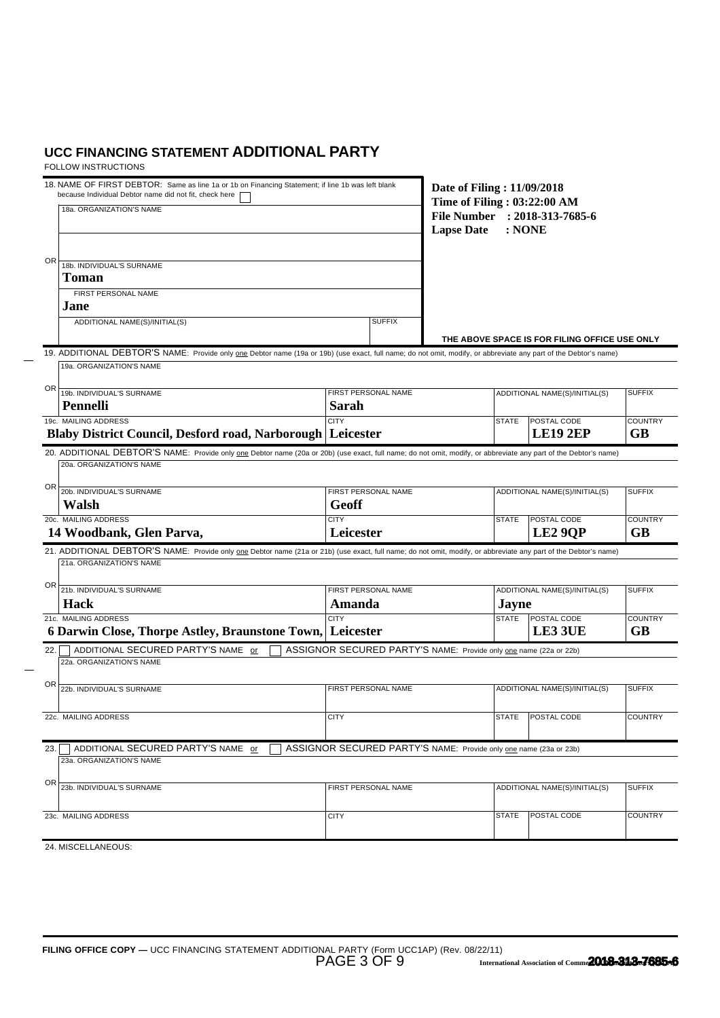|                |                                                              |               |                            |                                                                   |                                                                                                                                                                  | <b>FOLLOW INSTRUCTIONS</b>                             |
|----------------|--------------------------------------------------------------|---------------|----------------------------|-------------------------------------------------------------------|------------------------------------------------------------------------------------------------------------------------------------------------------------------|--------------------------------------------------------|
|                |                                                              |               | Date of Filing: 11/09/2018 |                                                                   | 18. NAME OF FIRST DEBTOR: Same as line 1a or 1b on Financing Statement; if line 1b was left blank                                                                |                                                        |
|                |                                                              |               |                            |                                                                   |                                                                                                                                                                  | because Individual Debtor name did not fit, check here |
|                | Time of Filing: 03:22:00 AM<br>File Number : 2018-313-7685-6 |               |                            |                                                                   | 18a. ORGANIZATION'S NAME                                                                                                                                         |                                                        |
|                |                                                              | : <b>NONE</b> | <b>Lapse Date</b>          |                                                                   |                                                                                                                                                                  |                                                        |
|                |                                                              |               |                            |                                                                   |                                                                                                                                                                  |                                                        |
|                |                                                              |               |                            |                                                                   |                                                                                                                                                                  | OR<br>18b. INDIVIDUAL'S SURNAME                        |
|                |                                                              |               |                            |                                                                   |                                                                                                                                                                  | <b>Toman</b>                                           |
|                |                                                              |               |                            |                                                                   |                                                                                                                                                                  | <b>FIRST PERSONAL NAME</b>                             |
|                |                                                              |               |                            |                                                                   |                                                                                                                                                                  | Jane.                                                  |
|                |                                                              |               |                            | <b>SUFFIX</b>                                                     |                                                                                                                                                                  | ADDITIONAL NAME(S)/INITIAL(S)                          |
|                | THE ABOVE SPACE IS FOR FILING OFFICE USE ONLY                |               |                            |                                                                   |                                                                                                                                                                  |                                                        |
|                |                                                              |               |                            |                                                                   | 19. ADDITIONAL DEBTOR'S NAME: Provide only one Debtor name (19a or 19b) (use exact, full name; do not omit, modify, or abbreviate any part of the Debtor's name) |                                                        |
|                |                                                              |               |                            |                                                                   |                                                                                                                                                                  | 19a. ORGANIZATION'S NAME                               |
| <b>SUFFIX</b>  | ADDITIONAL NAME(S)/INITIAL(S)                                |               |                            | FIRST PERSONAL NAME                                               |                                                                                                                                                                  | OR<br>19b. INDIVIDUAL'S SURNAME                        |
|                |                                                              |               |                            | Sarah                                                             |                                                                                                                                                                  | Pennelli                                               |
| <b>COUNTRY</b> | POSTAL CODE                                                  | <b>STATE</b>  |                            |                                                                   |                                                                                                                                                                  | 19c. MAILING ADDRESS                                   |
| <b>GB</b>      | <b>LE19 2EP</b>                                              |               |                            |                                                                   | <b>Blaby District Council, Desford road, Narborough   Leicester</b>                                                                                              |                                                        |
|                |                                                              |               |                            |                                                                   | 20. ADDITIONAL DEBTOR'S NAME: Provide only one Debtor name (20a or 20b) (use exact, full name; do not omit, modify, or abbreviate any part of the Debtor's name) |                                                        |
|                |                                                              |               |                            |                                                                   |                                                                                                                                                                  | 20a. ORGANIZATION'S NAME                               |
|                |                                                              |               |                            |                                                                   |                                                                                                                                                                  |                                                        |
| <b>SUFFIX</b>  | ADDITIONAL NAME(S)/INITIAL(S)                                |               |                            | FIRST PERSONAL NAME                                               |                                                                                                                                                                  | 0R<br>20b. INDIVIDUAL'S SURNAME                        |
|                |                                                              |               |                            | Geoff                                                             |                                                                                                                                                                  | Walsh                                                  |
| <b>COUNTRY</b> | POSTAL CODE                                                  | <b>STATE</b>  |                            |                                                                   |                                                                                                                                                                  | 20c. MAILING ADDRESS                                   |
| <b>GB</b>      | LE <sub>2</sub> 9OP                                          |               |                            | Leicester                                                         |                                                                                                                                                                  | 14 Woodbank, Glen Parva,                               |
|                |                                                              |               |                            |                                                                   | 21. ADDITIONAL DEBTOR'S NAME: Provide only one Debtor name (21a or 21b) (use exact, full name; do not omit, modify, or abbreviate any part of the Debtor's name) | 21a. ORGANIZATION'S NAME                               |
|                |                                                              |               |                            |                                                                   |                                                                                                                                                                  |                                                        |
| <b>SUFFIX</b>  | ADDITIONAL NAME(S)/INITIAL(S)                                |               |                            | FIRST PERSONAL NAME                                               |                                                                                                                                                                  | 0R<br>21b. INDIVIDUAL'S SURNAME                        |
|                |                                                              | Jayne         |                            | Amanda                                                            |                                                                                                                                                                  | Hack                                                   |
| <b>COUNTRY</b> | <b>POSTAL CODE</b>                                           | <b>STATE</b>  |                            |                                                                   |                                                                                                                                                                  | 21c. MAILING ADDRESS                                   |
| <b>GB</b>      | <b>LE3 3UE</b>                                               |               |                            |                                                                   | 6 Darwin Close, Thorpe Astley, Braunstone Town, Leicester                                                                                                        |                                                        |
|                |                                                              |               |                            | ASSIGNOR SECURED PARTY'S NAME: Provide only one name (22a or 22b) | ADDITIONAL SECURED PARTY'S NAME or                                                                                                                               | 22.                                                    |
|                |                                                              |               |                            |                                                                   |                                                                                                                                                                  | 22a, ORGANIZATION'S NAME                               |
| <b>SUFFIX</b>  | ADDITIONAL NAME(S)/INITIAL(S)                                |               |                            | FIRST PERSONAL NAME                                               |                                                                                                                                                                  | <b>OR</b><br>22b. INDIVIDUAL'S SURNAME                 |
|                |                                                              |               |                            |                                                                   |                                                                                                                                                                  |                                                        |
| <b>COUNTRY</b> | <b>POSTAL CODE</b>                                           | <b>STATE</b>  |                            |                                                                   |                                                                                                                                                                  | 22c. MAILING ADDRESS                                   |
|                |                                                              |               |                            |                                                                   |                                                                                                                                                                  |                                                        |
|                |                                                              |               |                            |                                                                   |                                                                                                                                                                  |                                                        |
|                |                                                              |               |                            |                                                                   |                                                                                                                                                                  | 23a, ORGANIZATION'S NAME                               |
|                |                                                              |               |                            |                                                                   |                                                                                                                                                                  |                                                        |
| <b>SUFFIX</b>  | ADDITIONAL NAME(S)/INITIAL(S)                                |               |                            | FIRST PERSONAL NAME                                               |                                                                                                                                                                  | 23b. INDIVIDUAL'S SURNAME                              |
|                |                                                              |               |                            |                                                                   |                                                                                                                                                                  |                                                        |
| <b>COUNTRY</b> | POSTAL CODE                                                  | <b>STATE</b>  |                            |                                                                   |                                                                                                                                                                  | 23c. MAILING ADDRESS                                   |
|                |                                                              |               |                            |                                                                   |                                                                                                                                                                  |                                                        |
|                |                                                              |               |                            |                                                                   |                                                                                                                                                                  | 24. MISCELLANEOUS:                                     |
|                |                                                              |               |                            | ASSIGNOR SECURED PARTY'S NAME: Provide only one name (23a or 23b) | ADDITIONAL SECURED PARTY'S NAME or                                                                                                                               | 23.<br>OR                                              |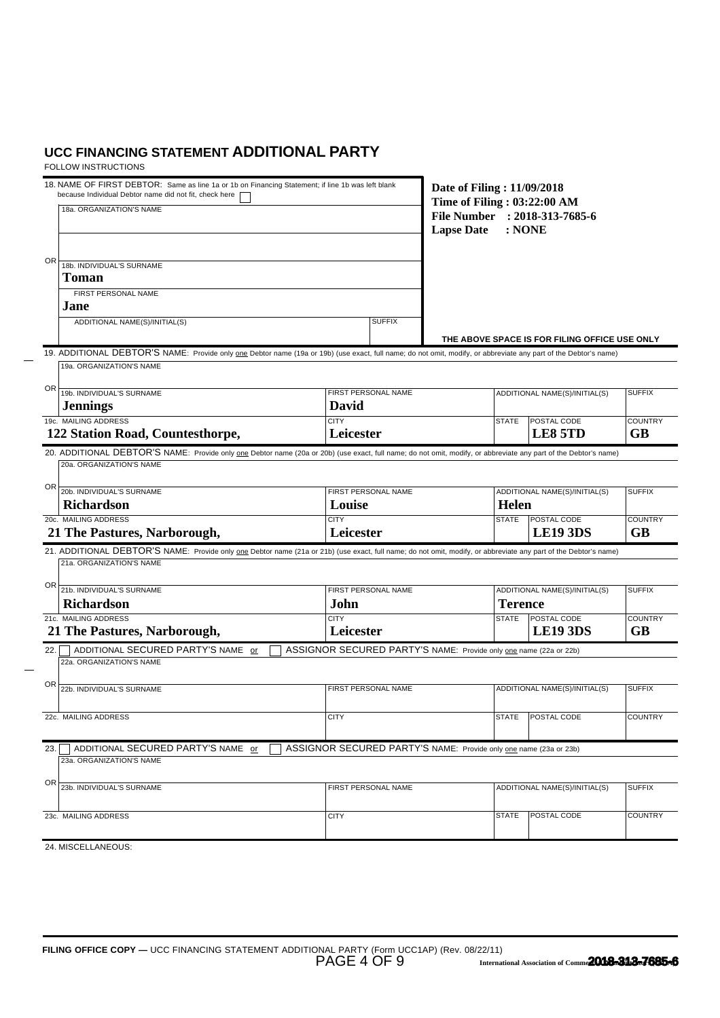| 18. NAME OF FIRST DEBTOR: Same as line 1a or 1b on Financing Statement; if line 1b was left blank<br>because Individual Debtor name did not fit, check here<br>18a. ORGANIZATION'S NAME      | Date of Filing: 11/09/2018<br><b>Time of Filing: 03:22:00 AM</b><br>File Number : 2018-313-7685-6<br><b>Lapse Date</b><br>: NONE |                                               |                                      |                             |
|----------------------------------------------------------------------------------------------------------------------------------------------------------------------------------------------|----------------------------------------------------------------------------------------------------------------------------------|-----------------------------------------------|--------------------------------------|-----------------------------|
| <b>OR</b><br>18b. INDIVIDUAL'S SURNAME                                                                                                                                                       |                                                                                                                                  |                                               |                                      |                             |
| <b>Toman</b>                                                                                                                                                                                 |                                                                                                                                  |                                               |                                      |                             |
| FIRST PERSONAL NAME                                                                                                                                                                          |                                                                                                                                  |                                               |                                      |                             |
| Jane                                                                                                                                                                                         |                                                                                                                                  |                                               |                                      |                             |
| ADDITIONAL NAME(S)/INITIAL(S)                                                                                                                                                                | <b>SUFFIX</b>                                                                                                                    |                                               |                                      |                             |
|                                                                                                                                                                                              |                                                                                                                                  | THE ABOVE SPACE IS FOR FILING OFFICE USE ONLY |                                      |                             |
| 19. ADDITIONAL DEBTOR'S NAME: Provide only one Debtor name (19a or 19b) (use exact, full name; do not omit, modify, or abbreviate any part of the Debtor's name)<br>19a. ORGANIZATION'S NAME |                                                                                                                                  |                                               |                                      |                             |
| OR<br>19b. INDIVIDUAL'S SURNAME                                                                                                                                                              | FIRST PERSONAL NAME                                                                                                              |                                               | ADDITIONAL NAME(S)/INITIAL(S)        | <b>SUFFIX</b>               |
| <b>Jennings</b>                                                                                                                                                                              | David                                                                                                                            |                                               |                                      |                             |
| 19c. MAILING ADDRESS<br>122 Station Road, Countesthorpe,                                                                                                                                     | <b>CITY</b><br>Leicester                                                                                                         | <b>STATE</b>                                  | <b>POSTAL CODE</b><br>LE8 5TD        | <b>COUNTRY</b><br><b>GB</b> |
|                                                                                                                                                                                              |                                                                                                                                  |                                               |                                      |                             |
| 20. ADDITIONAL DEBTOR'S NAME: Provide only one Debtor name (20a or 20b) (use exact, full name; do not omit, modify, or abbreviate any part of the Debtor's name)<br>20a. ORGANIZATION'S NAME |                                                                                                                                  |                                               |                                      |                             |
| 0R<br>20b. INDIVIDUAL'S SURNAME                                                                                                                                                              | <b>FIRST PERSONAL NAME</b>                                                                                                       |                                               | ADDITIONAL NAME(S)/INITIAL(S)        | <b>SUFFIX</b>               |
| <b>Richardson</b><br>20c. MAILING ADDRESS                                                                                                                                                    | Louise<br><b>CITY</b>                                                                                                            | <b>Helen</b>                                  |                                      |                             |
| 21 The Pastures, Narborough,                                                                                                                                                                 | Leicester                                                                                                                        | <b>STATE</b>                                  | POSTAL CODE<br><b>LE19 3DS</b>       | <b>COUNTRY</b><br><b>GB</b> |
| 21. ADDITIONAL DEBTOR'S NAME: Provide only one Debtor name (21a or 21b) (use exact, full name; do not omit, modify, or abbreviate any part of the Debtor's name)                             |                                                                                                                                  |                                               |                                      |                             |
| 21a. ORGANIZATION'S NAME                                                                                                                                                                     |                                                                                                                                  |                                               |                                      |                             |
| OR<br>21b. INDIVIDUAL'S SURNAME                                                                                                                                                              | FIRST PERSONAL NAME                                                                                                              |                                               | ADDITIONAL NAME(S)/INITIAL(S)        | <b>SUFFIX</b>               |
| <b>Richardson</b><br>21c. MAILING ADDRESS                                                                                                                                                    | John                                                                                                                             | <b>Terence</b>                                |                                      |                             |
| 21 The Pastures, Narborough,                                                                                                                                                                 | <b>CITY</b><br>Leicester                                                                                                         |                                               | STATE POSTAL CODE<br><b>LE19 3DS</b> | <b>COUNTRY</b><br><b>GB</b> |
| ADDITIONAL SECURED PARTY'S NAME or                                                                                                                                                           | ASSIGNOR SECURED PARTY'S NAME: Provide only one name (22a or 22b)                                                                |                                               |                                      |                             |
| 22.<br>22a. ORGANIZATION'S NAME                                                                                                                                                              |                                                                                                                                  |                                               |                                      |                             |
| OR<br>22b. INDIVIDUAL'S SURNAME                                                                                                                                                              | FIRST PERSONAL NAME                                                                                                              |                                               | ADDITIONAL NAME(S)/INITIAL(S)        | <b>SUFFIX</b>               |
| 22c. MAILING ADDRESS                                                                                                                                                                         | <b>CITY</b>                                                                                                                      | <b>STATE</b>                                  | <b>POSTAL CODE</b>                   | <b>COUNTRY</b>              |
|                                                                                                                                                                                              |                                                                                                                                  |                                               |                                      |                             |
| ADDITIONAL SECURED PARTY'S NAME or<br>23.                                                                                                                                                    | ASSIGNOR SECURED PARTY'S NAME: Provide only one name (23a or 23b)                                                                |                                               |                                      |                             |
| 23a. ORGANIZATION'S NAME                                                                                                                                                                     |                                                                                                                                  |                                               |                                      |                             |
| OR<br>23b. INDIVIDUAL'S SURNAME                                                                                                                                                              | FIRST PERSONAL NAME                                                                                                              |                                               | ADDITIONAL NAME(S)/INITIAL(S)        | <b>SUFFIX</b>               |
| 23c. MAILING ADDRESS                                                                                                                                                                         | <b>CITY</b>                                                                                                                      | <b>STATE</b>                                  | POSTAL CODE                          | COUNTRY                     |
|                                                                                                                                                                                              |                                                                                                                                  |                                               |                                      |                             |
| 24. MISCELLANEOUS:                                                                                                                                                                           |                                                                                                                                  |                                               |                                      |                             |
|                                                                                                                                                                                              |                                                                                                                                  |                                               |                                      |                             |
|                                                                                                                                                                                              |                                                                                                                                  |                                               |                                      |                             |
|                                                                                                                                                                                              |                                                                                                                                  |                                               |                                      |                             |
|                                                                                                                                                                                              |                                                                                                                                  |                                               |                                      |                             |
|                                                                                                                                                                                              |                                                                                                                                  |                                               |                                      |                             |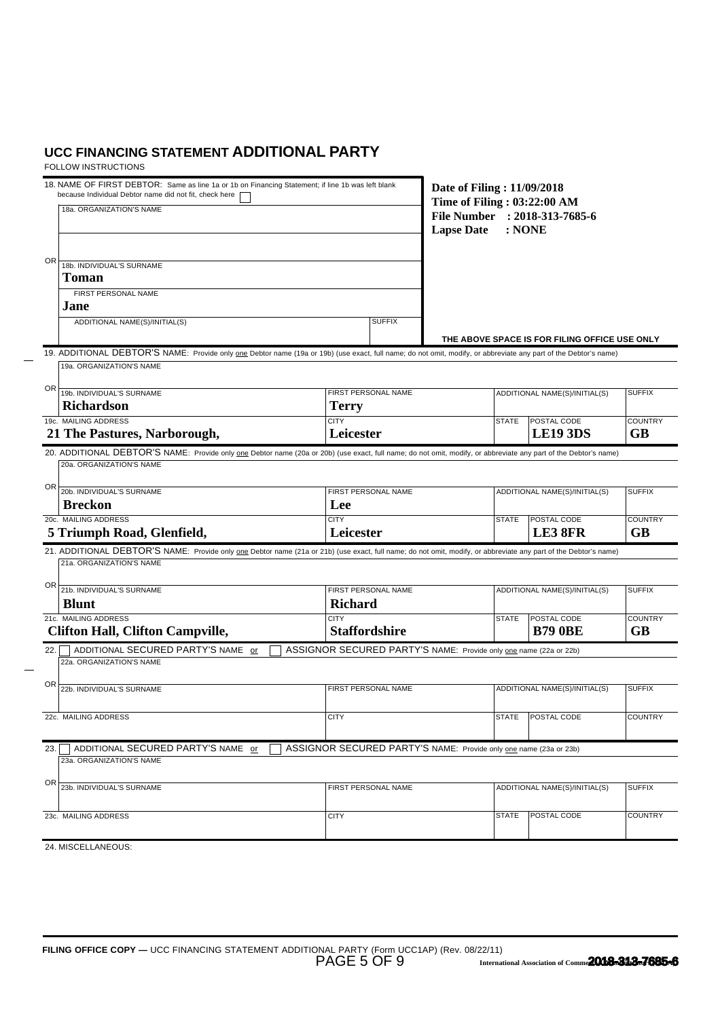|           | UCC FINANCING STATEMENT ADDITIONAL PARTY<br><b>FOLLOW INSTRUCTIONS</b>                                                                                                                       |  |                      |                     |                                                                   |               |                                                   |                |
|-----------|----------------------------------------------------------------------------------------------------------------------------------------------------------------------------------------------|--|----------------------|---------------------|-------------------------------------------------------------------|---------------|---------------------------------------------------|----------------|
|           | 18. NAME OF FIRST DEBTOR: Same as line 1a or 1b on Financing Statement; if line 1b was left blank<br>because Individual Debtor name did not fit, check here<br>18a, ORGANIZATION'S NAME      |  |                      |                     | Date of Filing: 11/09/2018<br>Time of Filing: 03:22:00 AM         |               |                                                   |                |
|           |                                                                                                                                                                                              |  |                      |                     | <b>Lapse Date</b>                                                 | : <b>NONE</b> | File Number : 2018-313-7685-6                     |                |
| <b>OR</b> | 18b. INDIVIDUAL'S SURNAME                                                                                                                                                                    |  |                      |                     |                                                                   |               |                                                   |                |
|           | Toman                                                                                                                                                                                        |  |                      |                     |                                                                   |               |                                                   |                |
|           | FIRST PERSONAL NAME                                                                                                                                                                          |  |                      |                     |                                                                   |               |                                                   |                |
|           | Jane<br>ADDITIONAL NAME(S)/INITIAL(S)                                                                                                                                                        |  |                      | <b>SUFFIX</b>       |                                                                   |               |                                                   |                |
|           |                                                                                                                                                                                              |  |                      |                     |                                                                   |               | THE ABOVE SPACE IS FOR FILING OFFICE USE ONLY     |                |
|           | 19. ADDITIONAL DEBTOR'S NAME: Provide only one Debtor name (19a or 19b) (use exact, full name; do not omit, modify, or abbreviate any part of the Debtor's name)                             |  |                      |                     |                                                                   |               |                                                   |                |
|           | 19a. ORGANIZATION'S NAME                                                                                                                                                                     |  |                      |                     |                                                                   |               |                                                   |                |
| OR        | 19b. INDIVIDUAL'S SURNAME                                                                                                                                                                    |  |                      | FIRST PERSONAL NAME |                                                                   |               |                                                   | <b>SUFFIX</b>  |
|           | <b>Richardson</b>                                                                                                                                                                            |  | <b>Terry</b>         |                     |                                                                   |               | ADDITIONAL NAME(S)/INITIAL(S)                     |                |
|           | 19c. MAILING ADDRESS                                                                                                                                                                         |  | <b>CITY</b>          |                     |                                                                   | <b>STATE</b>  | <b>POSTAL CODE</b>                                | <b>COUNTRY</b> |
|           | 21 The Pastures, Narborough,                                                                                                                                                                 |  | Leicester            |                     |                                                                   |               | <b>LE19 3DS</b>                                   | <b>GB</b>      |
|           | 20. ADDITIONAL DEBTOR'S NAME: Provide only one Debtor name (20a or 20b) (use exact, full name; do not omit, modify, or abbreviate any part of the Debtor's name)                             |  |                      |                     |                                                                   |               |                                                   |                |
|           | 20a. ORGANIZATION'S NAME                                                                                                                                                                     |  |                      |                     |                                                                   |               |                                                   |                |
| 0R        | 20b. INDIVIDUAL'S SURNAME                                                                                                                                                                    |  |                      | FIRST PERSONAL NAME |                                                                   |               | ADDITIONAL NAME(S)/INITIAL(S)                     | <b>SUFFIX</b>  |
|           | <b>Breckon</b>                                                                                                                                                                               |  | Lee                  |                     |                                                                   |               |                                                   |                |
|           | 20c. MAILING ADDRESS                                                                                                                                                                         |  | <b>CITY</b>          |                     |                                                                   | <b>STATE</b>  | POSTAL CODE                                       | <b>COUNTRY</b> |
|           | 5 Triumph Road, Glenfield,                                                                                                                                                                   |  | Leicester            |                     |                                                                   |               | <b>LE3 8FR</b>                                    | <b>GB</b>      |
|           | 21. ADDITIONAL DEBTOR'S NAME: Provide only one Debtor name (21a or 21b) (use exact, full name; do not omit, modify, or abbreviate any part of the Debtor's name)<br>21a. ORGANIZATION'S NAME |  |                      |                     |                                                                   |               |                                                   |                |
| 0R        | 21b. INDIVIDUAL'S SURNAME                                                                                                                                                                    |  |                      | FIRST PERSONAL NAME |                                                                   |               | ADDITIONAL NAME(S)/INITIAL(S)                     | <b>SUFFIX</b>  |
|           | <b>Blunt</b>                                                                                                                                                                                 |  | <b>Richard</b>       |                     |                                                                   |               |                                                   |                |
|           | 21c. MAILING ADDRESS                                                                                                                                                                         |  | <b>CITY</b>          |                     |                                                                   | <b>STATE</b>  | POSTAL CODE                                       | <b>COUNTRY</b> |
|           | <b>Clifton Hall, Clifton Campville,</b>                                                                                                                                                      |  | <b>Staffordshire</b> |                     |                                                                   |               | <b>B79 OBE</b>                                    | <b>GB</b>      |
| 22.       | ADDITIONAL SECURED PARTY'S NAME or                                                                                                                                                           |  |                      |                     | ASSIGNOR SECURED PARTY'S NAME: Provide only one name (22a or 22b) |               |                                                   |                |
|           | 22a. ORGANIZATION'S NAME                                                                                                                                                                     |  |                      |                     |                                                                   |               |                                                   |                |
|           | OR 22b. INDIVIDUAL'S SURNAME                                                                                                                                                                 |  |                      | FIRST PERSONAL NAME |                                                                   |               | ADDITIONAL NAME(S)/INITIAL(S)                     | <b>SUFFIX</b>  |
|           |                                                                                                                                                                                              |  |                      |                     |                                                                   |               |                                                   |                |
|           | 22c. MAILING ADDRESS                                                                                                                                                                         |  | <b>CITY</b>          |                     |                                                                   | <b>STATE</b>  | <b>POSTAL CODE</b>                                | <b>COUNTRY</b> |
|           |                                                                                                                                                                                              |  |                      |                     |                                                                   |               |                                                   |                |
| 23.       | ADDITIONAL SECURED PARTY'S NAME or<br>23a. ORGANIZATION'S NAME                                                                                                                               |  |                      |                     | ASSIGNOR SECURED PARTY'S NAME: Provide only one name (23a or 23b) |               |                                                   |                |
|           |                                                                                                                                                                                              |  |                      |                     |                                                                   |               |                                                   |                |
| OR        | 23b. INDIVIDUAL'S SURNAME                                                                                                                                                                    |  |                      | FIRST PERSONAL NAME |                                                                   |               | ADDITIONAL NAME(S)/INITIAL(S)                     | <b>SUFFIX</b>  |
|           |                                                                                                                                                                                              |  |                      |                     |                                                                   |               |                                                   |                |
|           | 23c. MAILING ADDRESS                                                                                                                                                                         |  | <b>CITY</b>          |                     |                                                                   | <b>STATE</b>  | POSTAL CODE                                       | COUNTRY        |
|           |                                                                                                                                                                                              |  |                      |                     |                                                                   |               |                                                   |                |
|           | 24. MISCELLANEOUS:                                                                                                                                                                           |  |                      |                     |                                                                   |               |                                                   |                |
|           |                                                                                                                                                                                              |  |                      |                     |                                                                   |               |                                                   |                |
|           |                                                                                                                                                                                              |  |                      |                     |                                                                   |               |                                                   |                |
|           |                                                                                                                                                                                              |  |                      |                     |                                                                   |               |                                                   |                |
|           |                                                                                                                                                                                              |  |                      |                     |                                                                   |               |                                                   |                |
|           | FILING OFFICE COPY - UCC FINANCING STATEMENT ADDITIONAL PARTY (Form UCC1AP) (Rev. 08/22/11)                                                                                                  |  |                      |                     |                                                                   |               |                                                   |                |
|           |                                                                                                                                                                                              |  | PAGE 5 OF 9          |                     |                                                                   |               | International Association of Comme2018-313-7685-6 |                |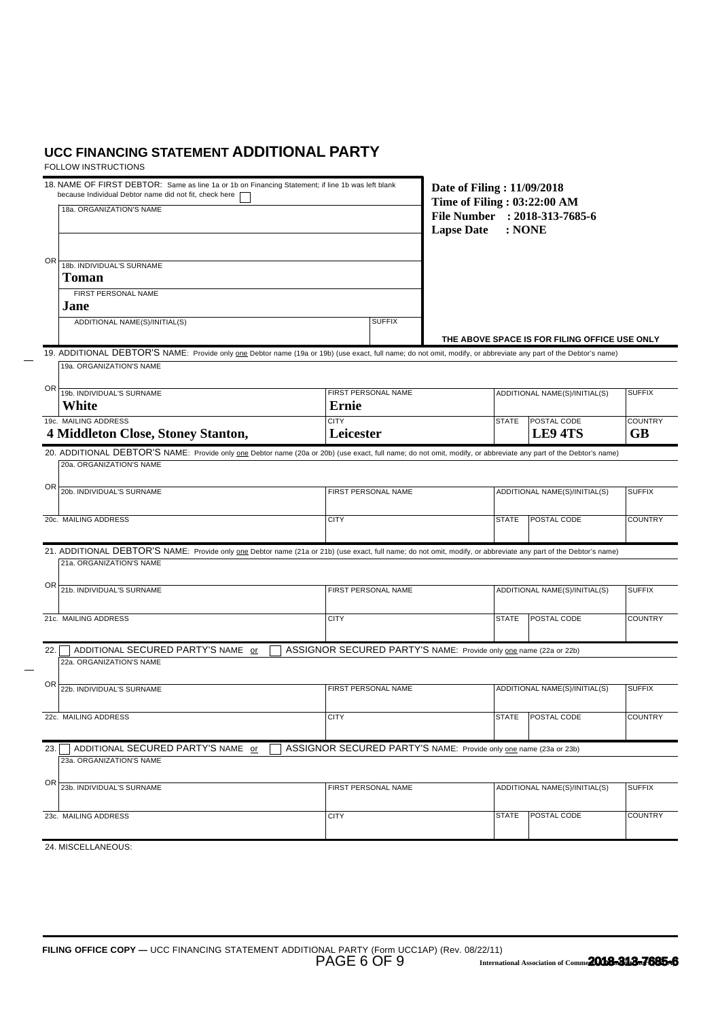| 18b. INDIVIDUAL'S SURNAME<br><b>Toman</b><br><b>FIRST PERSONAL NAME</b><br>Jane<br>ADDITIONAL NAME(S)/INITIAL(S)<br>19. ADDITIONAL DEBTOR'S NAME: Provide only one Debtor name (19a or 19b) (use exact, full name; do not omit, modify, or abbreviate any part of the Debtor's name)<br>19a. ORGANIZATION'S NAME<br>19b. INDIVIDUAL'S SURNAME<br>White<br>19c. MAILING ADDRESS<br>4 Middleton Close, Stoney Stanton,<br>20. ADDITIONAL DEBTOR'S NAME: Provide only one Debtor name (20a or 20b) (use exact, full name; do not omit, modify, or abbreviate any part of the Debtor's name)<br>20a. ORGANIZATION'S NAME<br>20b. INDIVIDUAL'S SURNAME<br>20c. MAILING ADDRESS | <b>SUFFIX</b><br>FIRST PERSONAL NAME<br>Ernie<br><b>CITY</b><br>Leicester<br>FIRST PERSONAL NAME<br><b>CITY</b> | <b>STATE</b> | THE ABOVE SPACE IS FOR FILING OFFICE USE ONLY<br>ADDITIONAL NAME(S)/INITIAL(S)<br><b>POSTAL CODE</b><br>LE94TS | <b>SUFFIX</b><br><b>COUNTRY</b> |
|---------------------------------------------------------------------------------------------------------------------------------------------------------------------------------------------------------------------------------------------------------------------------------------------------------------------------------------------------------------------------------------------------------------------------------------------------------------------------------------------------------------------------------------------------------------------------------------------------------------------------------------------------------------------------|-----------------------------------------------------------------------------------------------------------------|--------------|----------------------------------------------------------------------------------------------------------------|---------------------------------|
|                                                                                                                                                                                                                                                                                                                                                                                                                                                                                                                                                                                                                                                                           |                                                                                                                 |              |                                                                                                                |                                 |
|                                                                                                                                                                                                                                                                                                                                                                                                                                                                                                                                                                                                                                                                           |                                                                                                                 |              |                                                                                                                |                                 |
|                                                                                                                                                                                                                                                                                                                                                                                                                                                                                                                                                                                                                                                                           |                                                                                                                 |              |                                                                                                                |                                 |
|                                                                                                                                                                                                                                                                                                                                                                                                                                                                                                                                                                                                                                                                           |                                                                                                                 |              |                                                                                                                |                                 |
|                                                                                                                                                                                                                                                                                                                                                                                                                                                                                                                                                                                                                                                                           |                                                                                                                 |              |                                                                                                                |                                 |
|                                                                                                                                                                                                                                                                                                                                                                                                                                                                                                                                                                                                                                                                           |                                                                                                                 |              |                                                                                                                |                                 |
|                                                                                                                                                                                                                                                                                                                                                                                                                                                                                                                                                                                                                                                                           |                                                                                                                 |              |                                                                                                                | <b>GB</b>                       |
|                                                                                                                                                                                                                                                                                                                                                                                                                                                                                                                                                                                                                                                                           |                                                                                                                 |              |                                                                                                                |                                 |
|                                                                                                                                                                                                                                                                                                                                                                                                                                                                                                                                                                                                                                                                           |                                                                                                                 |              |                                                                                                                |                                 |
|                                                                                                                                                                                                                                                                                                                                                                                                                                                                                                                                                                                                                                                                           |                                                                                                                 |              | ADDITIONAL NAME(S)/INITIAL(S)                                                                                  | <b>SUFFIX</b>                   |
|                                                                                                                                                                                                                                                                                                                                                                                                                                                                                                                                                                                                                                                                           |                                                                                                                 | <b>STATE</b> | POSTAL CODE                                                                                                    | <b>COUNTRY</b>                  |
| 21. ADDITIONAL DEBTOR'S NAME: Provide only one Debtor name (21a or 21b) (use exact, full name; do not omit, modify, or abbreviate any part of the Debtor's name)                                                                                                                                                                                                                                                                                                                                                                                                                                                                                                          |                                                                                                                 |              |                                                                                                                |                                 |
| 21a. ORGANIZATION'S NAME                                                                                                                                                                                                                                                                                                                                                                                                                                                                                                                                                                                                                                                  |                                                                                                                 |              |                                                                                                                |                                 |
| 21b. INDIVIDUAL'S SURNAME                                                                                                                                                                                                                                                                                                                                                                                                                                                                                                                                                                                                                                                 | FIRST PERSONAL NAME                                                                                             |              | ADDITIONAL NAME(S)/INITIAL(S)                                                                                  | <b>SUFFIX</b>                   |
|                                                                                                                                                                                                                                                                                                                                                                                                                                                                                                                                                                                                                                                                           |                                                                                                                 |              |                                                                                                                |                                 |
| 21c. MAILING ADDRESS                                                                                                                                                                                                                                                                                                                                                                                                                                                                                                                                                                                                                                                      | <b>CITY</b>                                                                                                     | <b>STATE</b> | POSTAL CODE                                                                                                    | <b>COUNTRY</b>                  |
| ADDITIONAL SECURED PARTY'S NAME or                                                                                                                                                                                                                                                                                                                                                                                                                                                                                                                                                                                                                                        | ASSIGNOR SECURED PARTY'S NAME: Provide only one name (22a or 22b)                                               |              |                                                                                                                |                                 |
| 22a. ORGANIZATION'S NAME                                                                                                                                                                                                                                                                                                                                                                                                                                                                                                                                                                                                                                                  |                                                                                                                 |              |                                                                                                                |                                 |
| 22b. INDIVIDUAL'S SURNAME                                                                                                                                                                                                                                                                                                                                                                                                                                                                                                                                                                                                                                                 | FIRST PERSONAL NAME                                                                                             |              | ADDITIONAL NAME(S)/INITIAL(S)                                                                                  | <b>SUFFIX</b>                   |
|                                                                                                                                                                                                                                                                                                                                                                                                                                                                                                                                                                                                                                                                           |                                                                                                                 |              |                                                                                                                |                                 |
| 22c. MAILING ADDRESS                                                                                                                                                                                                                                                                                                                                                                                                                                                                                                                                                                                                                                                      | <b>CITY</b>                                                                                                     | <b>STATE</b> | POSTAL CODE                                                                                                    | <b>COUNTRY</b>                  |
| ADDITIONAL SECURED PARTY'S NAME or                                                                                                                                                                                                                                                                                                                                                                                                                                                                                                                                                                                                                                        | ASSIGNOR SECURED PARTY'S NAME: Provide only one name (23a or 23b)                                               |              |                                                                                                                |                                 |
| 23a. ORGANIZATION'S NAME                                                                                                                                                                                                                                                                                                                                                                                                                                                                                                                                                                                                                                                  |                                                                                                                 |              |                                                                                                                |                                 |
| 23b. INDIVIDUAL'S SURNAME                                                                                                                                                                                                                                                                                                                                                                                                                                                                                                                                                                                                                                                 | FIRST PERSONAL NAME                                                                                             |              | ADDITIONAL NAME(S)/INITIAL(S)                                                                                  | <b>SUFFIX</b>                   |
| 23c. MAILING ADDRESS                                                                                                                                                                                                                                                                                                                                                                                                                                                                                                                                                                                                                                                      | <b>CITY</b>                                                                                                     | <b>STATE</b> | POSTAL CODE                                                                                                    | <b>COUNTRY</b>                  |
| 24. MISCELLANEOUS:                                                                                                                                                                                                                                                                                                                                                                                                                                                                                                                                                                                                                                                        |                                                                                                                 |              |                                                                                                                |                                 |
|                                                                                                                                                                                                                                                                                                                                                                                                                                                                                                                                                                                                                                                                           |                                                                                                                 |              |                                                                                                                |                                 |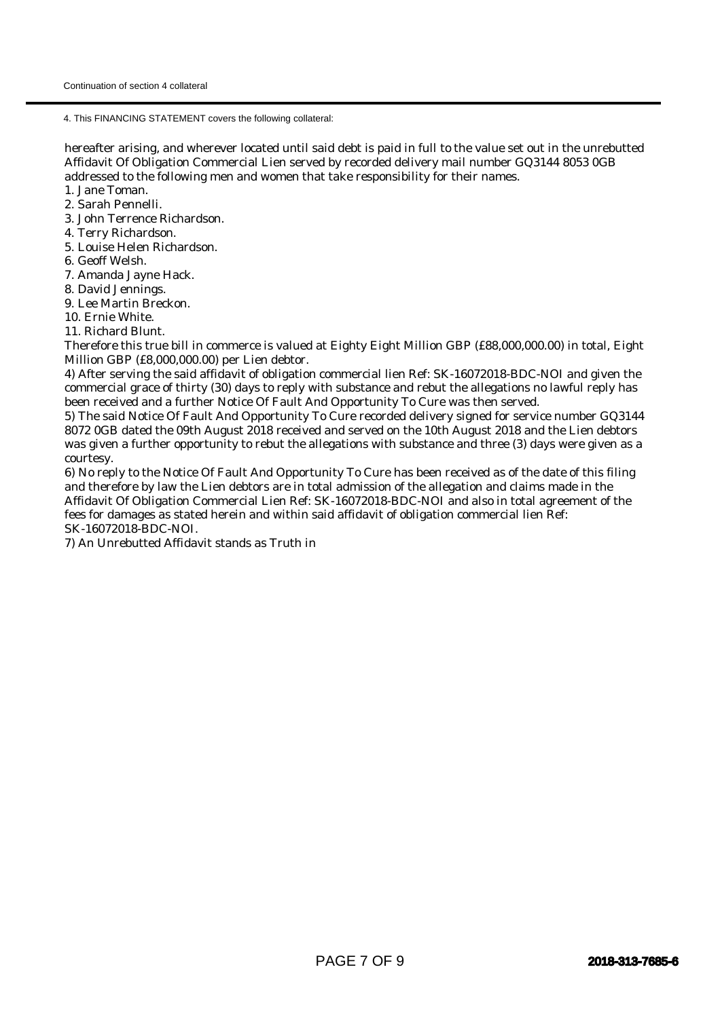4. This FINANCING STATEMENT covers the following collateral:

hereafter arising, and wherever located until said debt is paid in full to the value set out in the unrebutted Affidavit Of Obligation Commercial Lien served by recorded delivery mail number GQ3144 8053 0GB addressed to the following men and women that take responsibility for their names.

- 1. Jane Toman.
- 2. Sarah Pennelli.
- 3. John Terrence Richardson.
- 4. Terry Richardson.
- 5. Louise Helen Richardson.
- 6. Geoff Welsh.
- 7. Amanda Jayne Hack.
- 8. David Jennings.
- 9. Lee Martin Breckon.
- 10. Ernie White.
- 11. Richard Blunt.

Therefore this true bill in commerce is valued at Eighty Eight Million GBP (£88,000,000.00) in total, Eight Million GBP (£8,000,000.00) per Lien debtor.

4) After serving the said affidavit of obligation commercial lien Ref: SK-16072018-BDC-NOI and given the commercial grace of thirty (30) days to reply with substance and rebut the allegations no lawful reply has been received and a further Notice Of Fault And Opportunity To Cure was then served.

5) The said Notice Of Fault And Opportunity To Cure recorded delivery signed for service number GQ3144 8072 0GB dated the 09th August 2018 received and served on the 10th August 2018 and the Lien debtors was given a further opportunity to rebut the allegations with substance and three (3) days were given as a courtesy.

6) No reply to the Notice Of Fault And Opportunity To Cure has been received as of the date of this filing and therefore by law the Lien debtors are in total admission of the allegation and claims made in the Affidavit Of Obligation Commercial Lien Ref: SK-16072018-BDC-NOI and also in total agreement of the fees for damages as stated herein and within said affidavit of obligation commercial lien Ref: SK-16072018-BDC-NOI.

7) An Unrebutted Affidavit stands as Truth in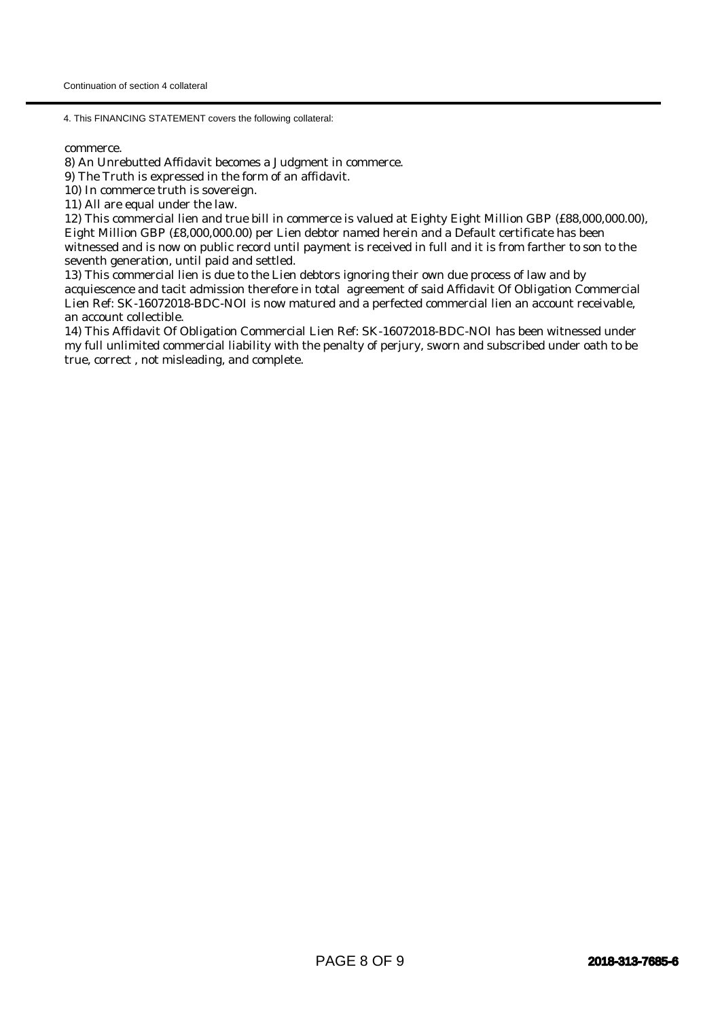4. This FINANCING STATEMENT covers the following collateral:

#### commerce.

8) An Unrebutted Affidavit becomes a Judgment in commerce.

9) The Truth is expressed in the form of an affidavit.

10) In commerce truth is sovereign.

11) All are equal under the law.

12) This commercial lien and true bill in commerce is valued at Eighty Eight Million GBP (£88,000,000.00), Eight Million GBP (£8,000,000.00) per Lien debtor named herein and a Default certificate has been witnessed and is now on public record until payment is received in full and it is from farther to son to the seventh generation, until paid and settled.

13) This commercial lien is due to the Lien debtors ignoring their own due process of law and by acquiescence and tacit admission therefore in total agreement of said Affidavit Of Obligation Commercial Lien Ref: SK-16072018-BDC-NOI is now matured and a perfected commercial lien an account receivable, an account collectible.

14) This Affidavit Of Obligation Commercial Lien Ref: SK-16072018-BDC-NOI has been witnessed under my full unlimited commercial liability with the penalty of perjury, sworn and subscribed under oath to be true, correct , not misleading, and complete.